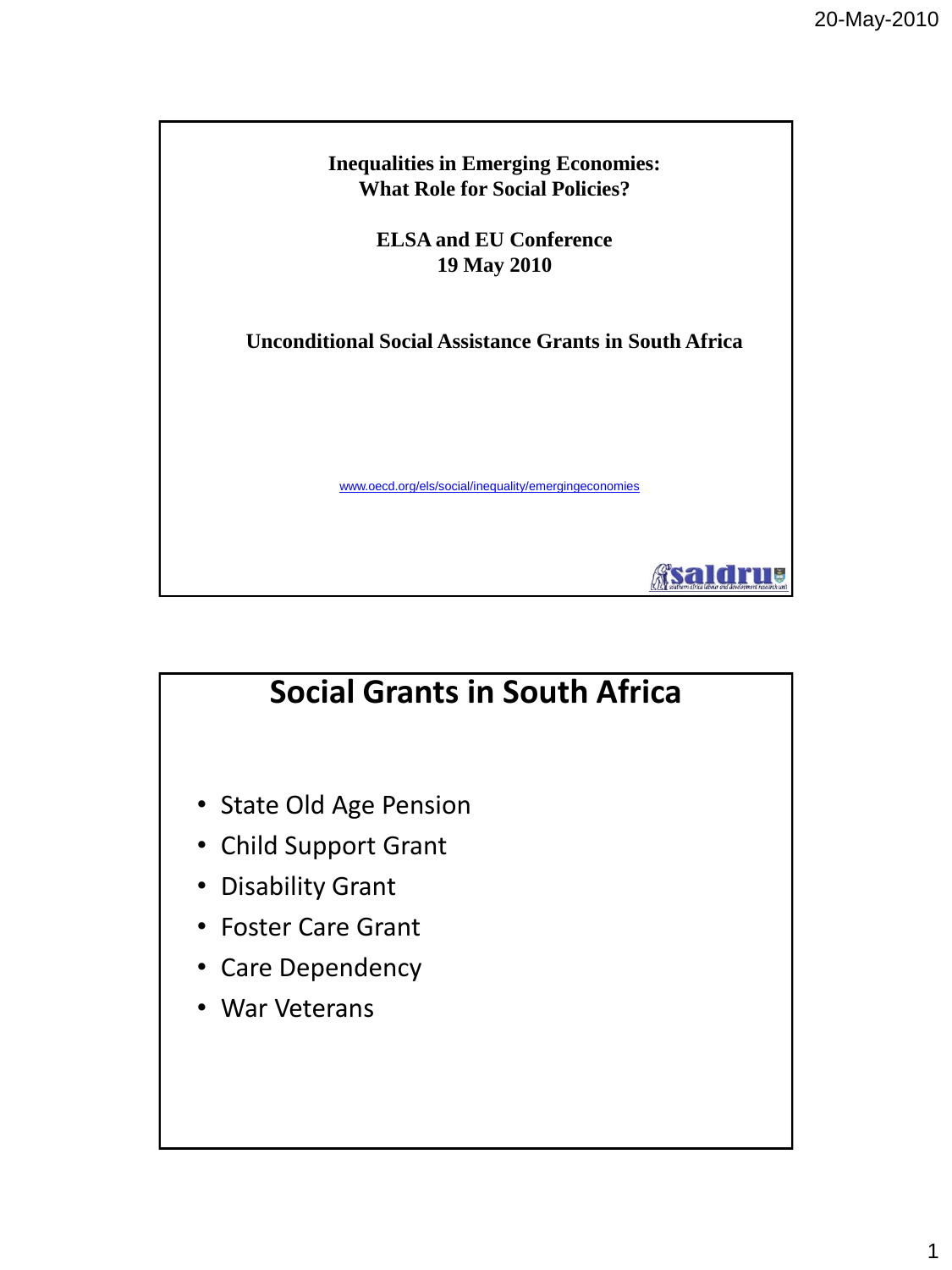**Inequalities in Emerging Economies: What Role for Social Policies?** 

> **ELSA and EU Conference 19 May 2010**

**Unconditional Social Assistance Grants in South Africa**

www.oecd.org/els/social/inequality/emergingeconomies

Asaldrus

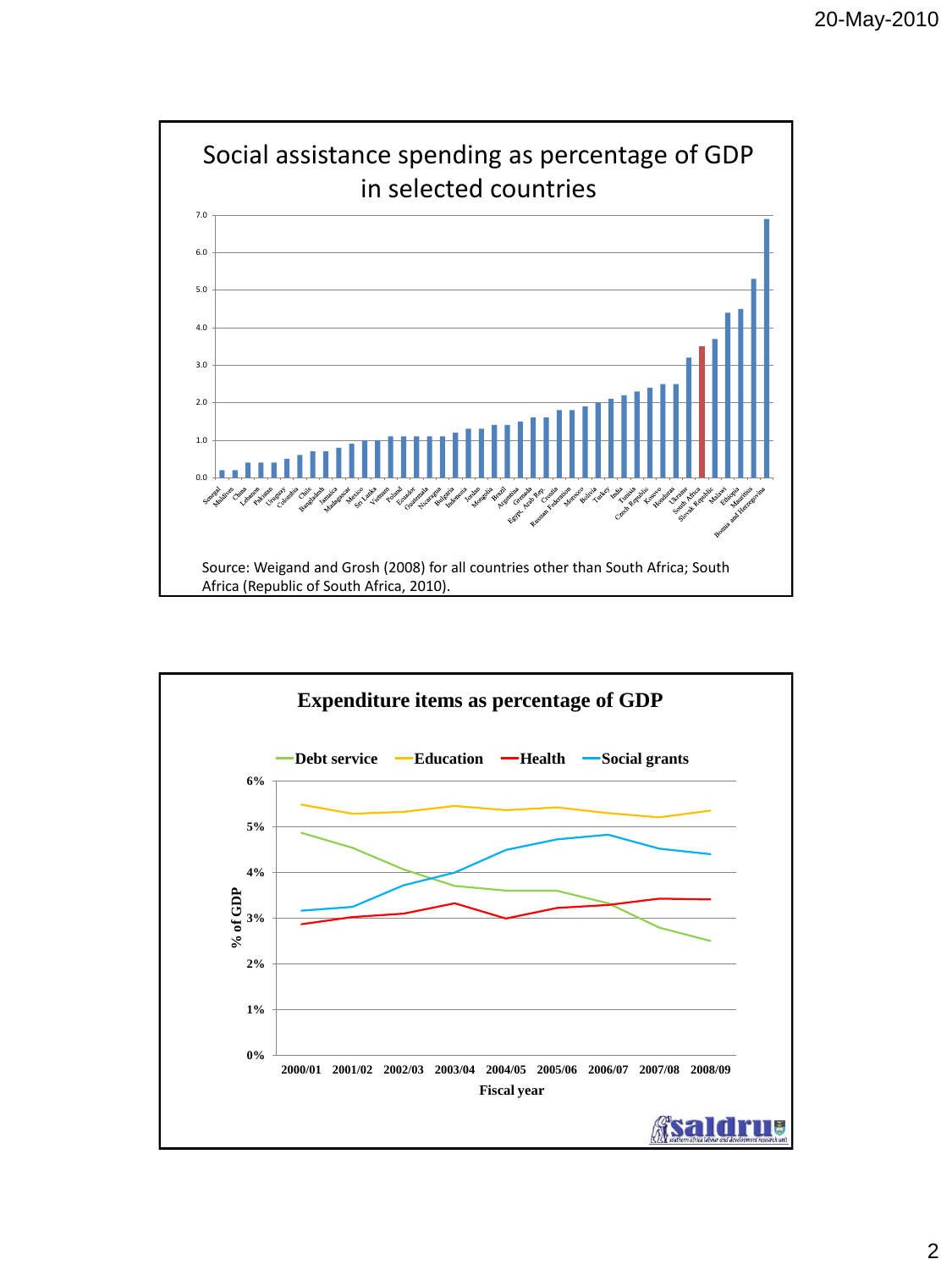

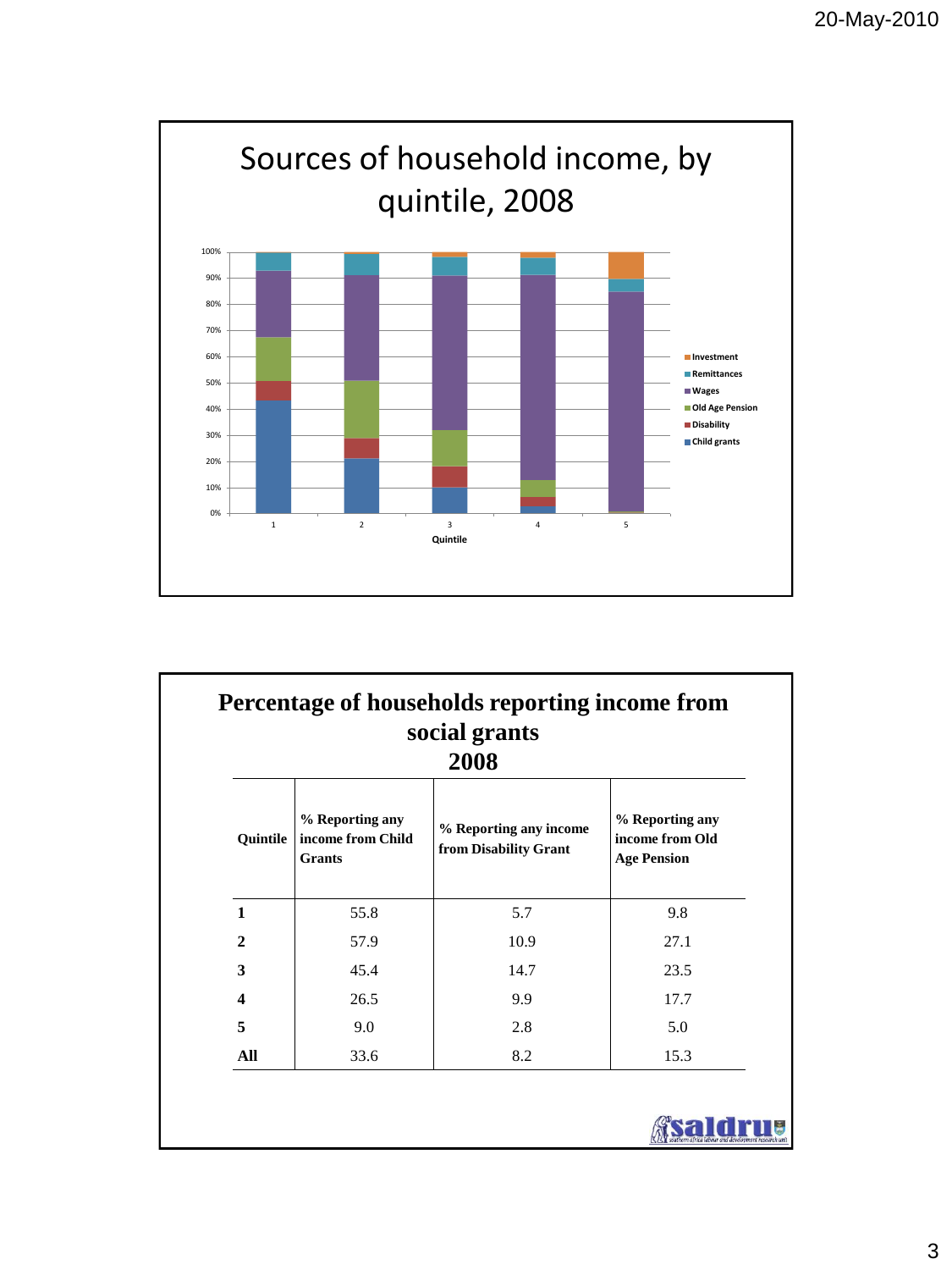

| social grants<br>2008   |                                                       |                                                 |                                                          |  |  |  |
|-------------------------|-------------------------------------------------------|-------------------------------------------------|----------------------------------------------------------|--|--|--|
| Quintile                | % Reporting any<br>income from Child<br><b>Grants</b> | % Reporting any income<br>from Disability Grant | % Reporting any<br>income from Old<br><b>Age Pension</b> |  |  |  |
| $\mathbf{1}$            | 55.8                                                  | 5.7                                             | 9.8                                                      |  |  |  |
| $\mathbf{2}$            | 57.9                                                  | 10.9                                            | 27.1                                                     |  |  |  |
| 3                       | 45.4                                                  | 14.7                                            | 23.5                                                     |  |  |  |
| $\overline{\mathbf{4}}$ | 26.5                                                  | 9.9                                             | 17.7                                                     |  |  |  |
| 5                       | 9.0                                                   | 2.8                                             | 5.0                                                      |  |  |  |
| All                     | 33.6                                                  | 8.2                                             | 15.3                                                     |  |  |  |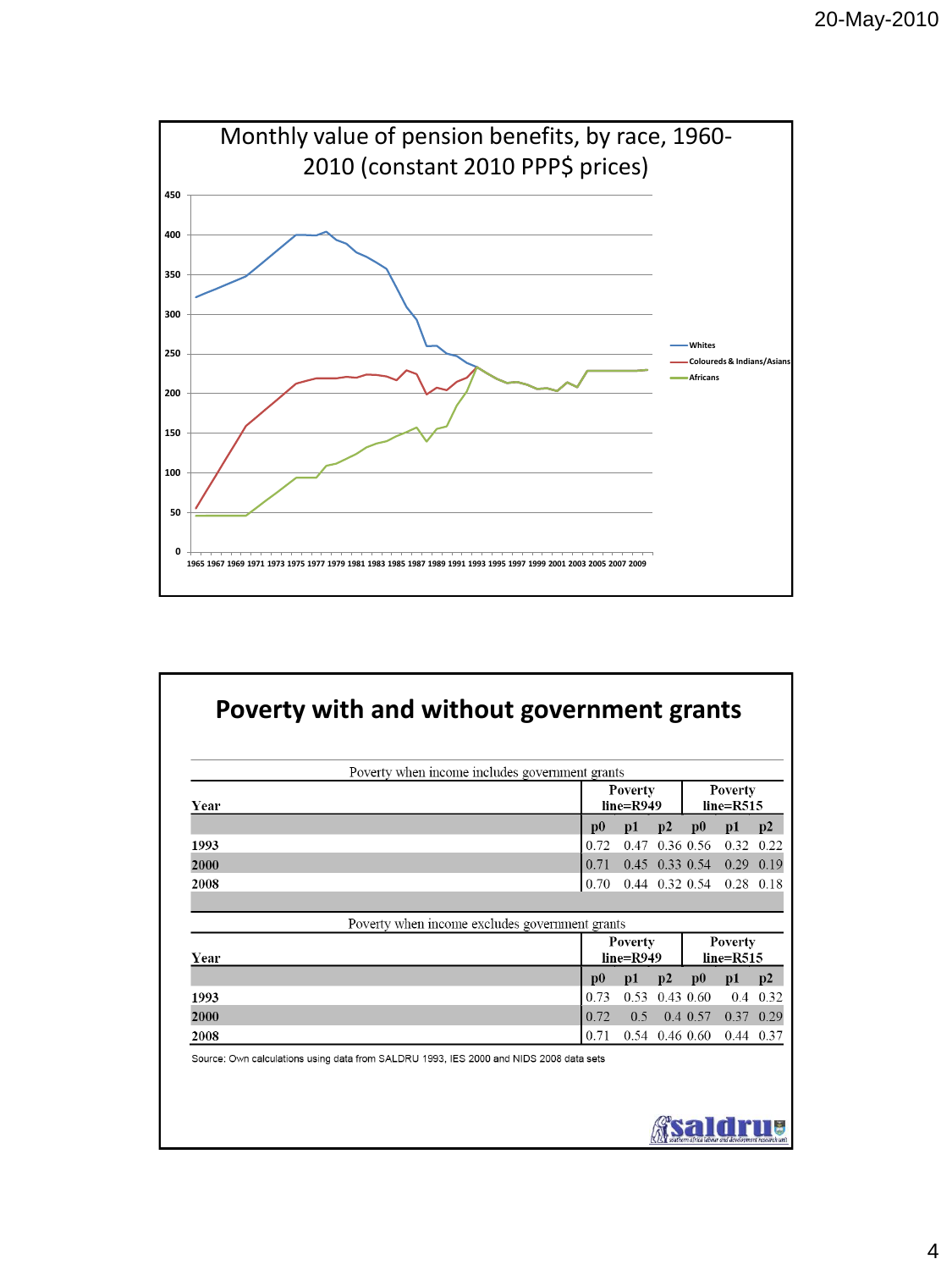

| Year |                                                | Poverty<br>$line=R949$        |           | Poverty<br>$line=R515$        |             |               |
|------|------------------------------------------------|-------------------------------|-----------|-------------------------------|-------------|---------------|
|      | $\bf{p0}$                                      | p1                            | p2        | $\mathbf{p0}$                 | p1          | p2            |
| 1993 | 0.72                                           | 0.47                          |           | 0.36 0.56                     | 0.32        | 0.22          |
| 2000 | 0.71                                           |                               |           | $0.45$ 0.33 0.54              | $0.29$ 0.19 |               |
| 2008 | 0.70                                           |                               |           | $0.44$ 0.32 0.54              | $0.28$ 0.18 |               |
|      |                                                |                               |           |                               |             |               |
|      | Poverty when income excludes government grants |                               |           |                               |             |               |
| Year |                                                | <b>Poverty</b><br>$line=R949$ |           | <b>Poverty</b><br>$line=R515$ |             |               |
|      | $\mathbf{p0}$                                  | p1                            | p2        | $\mathbf{p0}$                 | p1          | $\mathbf{D2}$ |
| 1993 | 0.73                                           | 0.53                          | 0.43 0.60 |                               |             | 0.4 0.32      |
| 2000 | 0.72                                           | 0.5                           |           | 0.4 0.57                      | 0.37 0.29   |               |
|      |                                                |                               |           | 0.54 0.46 0.60                |             | 0.44 0.37     |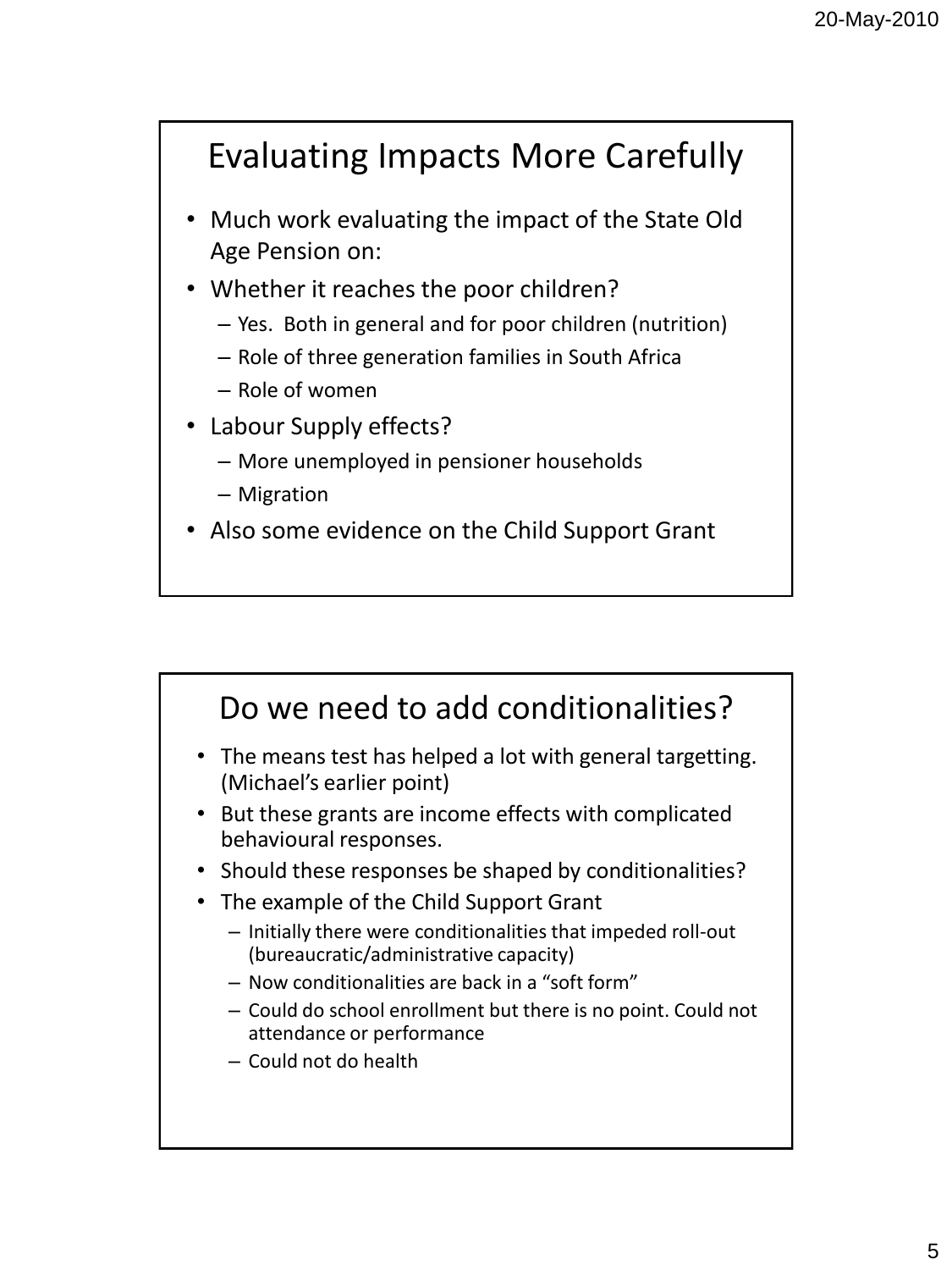## Evaluating Impacts More Carefully

- Much work evaluating the impact of the State Old Age Pension on:
- Whether it reaches the poor children?
	- Yes. Both in general and for poor children (nutrition)
	- Role of three generation families in South Africa
	- Role of women
- Labour Supply effects?
	- More unemployed in pensioner households
	- Migration
- Also some evidence on the Child Support Grant

## Do we need to add conditionalities?

- The means test has helped a lot with general targetting. (Michael's earlier point)
- But these grants are income effects with complicated behavioural responses.
- Should these responses be shaped by conditionalities?
- The example of the Child Support Grant
	- Initially there were conditionalities that impeded roll-out (bureaucratic/administrative capacity)
	- Now conditionalities are back in a "soft form"
	- Could do school enrollment but there is no point. Could not attendance or performance
	- Could not do health